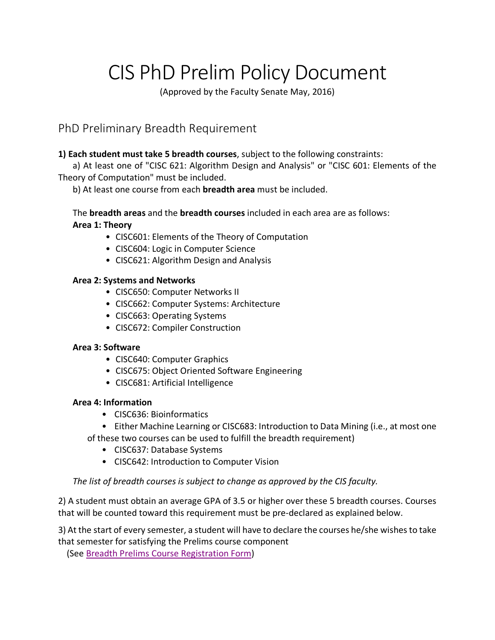# CIS PhD Prelim Policy Document

(Approved by the Faculty Senate May, 2016)

# PhD Preliminary Breadth Requirement

#### **1) Each student must take 5 breadth courses**, subject to the following constraints:

a) At least one of "CISC 621: Algorithm Design and Analysis" or "CISC 601: Elements of the Theory of Computation" must be included.

b) At least one course from each **breadth area** must be included.

The **breadth areas** and the **breadth courses** included in each area are as follows: **Area 1: Theory**

- CISC601: Elements of the Theory of Computation
- CISC604: Logic in Computer Science
- CISC621: Algorithm Design and Analysis

#### **Area 2: Systems and Networks**

- CISC650: Computer Networks II
- CISC662: Computer Systems: Architecture
- CISC663: Operating Systems
- CISC672: Compiler Construction

#### **Area 3: Software**

- CISC640: Computer Graphics
- CISC675: Object Oriented Software Engineering
- CISC681: Artificial Intelligence

#### **Area 4: Information**

- CISC636: Bioinformatics
- Either Machine Learning or CISC683: Introduction to Data Mining (i.e., at most one
- of these two courses can be used to fulfill the breadth requirement)
	- CISC637: Database Systems
	- CISC642: Introduction to Computer Vision

#### *The list of breadth courses is subject to change as approved by the CIS faculty.*

2) A student must obtain an average GPA of 3.5 or higher over these 5 breadth courses. Courses that will be counted toward this requirement must be pre-declared as explained below.

3) At the start of every semester, a student will have to declare the courses he/she wishes to take that semester for satisfying the Prelims course component

(See Breadth Prelims Course Registration Form)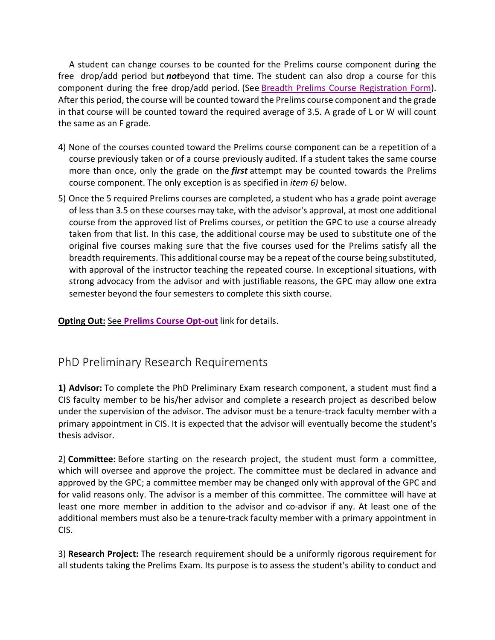A student can change courses to be counted for the Prelims course component during the free drop/add period but *not*beyond that time. The student can also drop a course for this component during the free drop/add period. (See Breadth Prelims Course Registration Form). After this period, the course will be counted toward the Prelims course component and the grade in that course will be counted toward the required average of 3.5. A grade of L or W will count the same as an F grade.

- 4) None of the courses counted toward the Prelims course component can be a repetition of a course previously taken or of a course previously audited. If a student takes the same course more than once, only the grade on the *first* attempt may be counted towards the Prelims course component. The only exception is as specified in *item 6)* below.
- 5) Once the 5 required Prelims courses are completed, a student who has a grade point average of less than 3.5 on these courses may take, with the advisor's approval, at most one additional course from the approved list of Prelims courses, or petition the GPC to use a course already taken from that list. In this case, the additional course may be used to substitute one of the original five courses making sure that the five courses used for the Prelims satisfy all the breadth requirements. This additional course may be a repeat of the course being substituted, with approval of the instructor teaching the repeated course. In exceptional situations, with strong advocacy from the advisor and with justifiable reasons, the GPC may allow one extra semester beyond the four semesters to complete this sixth course.

**Opting Out:** See **Prelims Course Opt-out** link for details.

## PhD Preliminary Research Requirements

**1) Advisor:** To complete the PhD Preliminary Exam research component, a student must find a CIS faculty member to be his/her advisor and complete a research project as described below under the supervision of the advisor. The advisor must be a tenure-track faculty member with a primary appointment in CIS. It is expected that the advisor will eventually become the student's thesis advisor.

2) **Committee:** Before starting on the research project, the student must form a committee, which will oversee and approve the project. The committee must be declared in advance and approved by the GPC; a committee member may be changed only with approval of the GPC and for valid reasons only. The advisor is a member of this committee. The committee will have at least one more member in addition to the advisor and co-advisor if any. At least one of the additional members must also be a tenure-track faculty member with a primary appointment in CIS.

3) **Research Project:** The research requirement should be a uniformly rigorous requirement for all students taking the Prelims Exam. Its purpose is to assess the student's ability to conduct and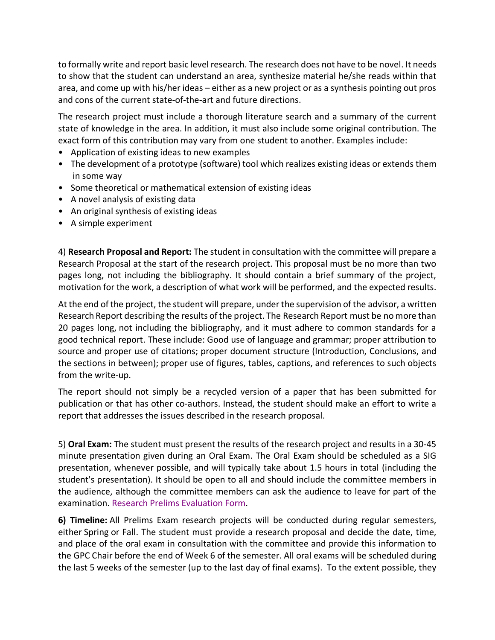to formally write and report basic level research. The research does not have to be novel. It needs to show that the student can understand an area, synthesize material he/she reads within that area, and come up with his/her ideas – either as a new project or as a synthesis pointing out pros and cons of the current state-of-the-art and future directions.

The research project must include a thorough literature search and a summary of the current state of knowledge in the area. In addition, it must also include some original contribution. The exact form of this contribution may vary from one student to another. Examples include:

- Application of existing ideas to new examples
- The development of a prototype (software) tool which realizes existing ideas or extends them in some way
- Some theoretical or mathematical extension of existing ideas
- A novel analysis of existing data
- An original synthesis of existing ideas
- A simple experiment

4) **Research Proposal and Report:** The student in consultation with the committee will prepare a Research Proposal at the start of the research project. This proposal must be no more than two pages long, not including the bibliography. It should contain a brief summary of the project, motivation for the work, a description of what work will be performed, and the expected results.

At the end of the project, the student will prepare, under the supervision of the advisor, a written Research Report describing the results of the project. The Research Report must be no more than 20 pages long, not including the bibliography, and it must adhere to common standards for a good technical report. These include: Good use of language and grammar; proper attribution to source and proper use of citations; proper document structure (Introduction, Conclusions, and the sections in between); proper use of figures, tables, captions, and references to such objects from the write-up.

The report should not simply be a recycled version of a paper that has been submitted for publication or that has other co-authors. Instead, the student should make an effort to write a report that addresses the issues described in the research proposal.

5) **Oral Exam:** The student must present the results of the research project and results in a 30-45 minute presentation given during an Oral Exam. The Oral Exam should be scheduled as a SIG presentation, whenever possible, and will typically take about 1.5 hours in total (including the student's presentation). It should be open to all and should include the committee members in the audience, although the committee members can ask the audience to leave for part of the examination. Research Prelims Evaluation Form.

**6) Timeline:** All Prelims Exam research projects will be conducted during regular semesters, either Spring or Fall. The student must provide a research proposal and decide the date, time, and place of the oral exam in consultation with the committee and provide this information to the GPC Chair before the end of Week 6 of the semester. All oral exams will be scheduled during the last 5 weeks of the semester (up to the last day of final exams). To the extent possible, they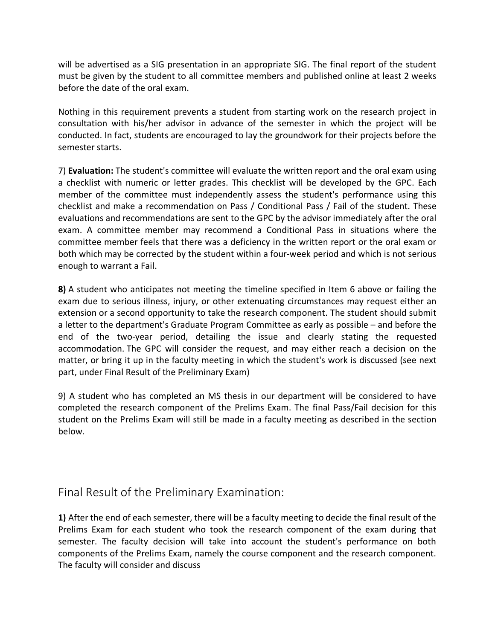will be advertised as a SIG presentation in an appropriate SIG. The final report of the student must be given by the student to all committee members and published online at least 2 weeks before the date of the oral exam.

Nothing in this requirement prevents a student from starting work on the research project in consultation with his/her advisor in advance of the semester in which the project will be conducted. In fact, students are encouraged to lay the groundwork for their projects before the semester starts.

7) **Evaluation:** The student's committee will evaluate the written report and the oral exam using a checklist with numeric or letter grades. This checklist will be developed by the GPC. Each member of the committee must independently assess the student's performance using this checklist and make a recommendation on Pass / Conditional Pass / Fail of the student. These evaluations and recommendations are sent to the GPC by the advisor immediately after the oral exam. A committee member may recommend a Conditional Pass in situations where the committee member feels that there was a deficiency in the written report or the oral exam or both which may be corrected by the student within a four-week period and which is not serious enough to warrant a Fail.

**8)** A student who anticipates not meeting the timeline specified in Item 6 above or failing the exam due to serious illness, injury, or other extenuating circumstances may request either an extension or a second opportunity to take the research component. The student should submit a letter to the department's Graduate Program Committee as early as possible – and before the end of the two-year period, detailing the issue and clearly stating the requested accommodation. The GPC will consider the request, and may either reach a decision on the matter, or bring it up in the faculty meeting in which the student's work is discussed (see next part, under Final Result of the Preliminary Exam)

9) A student who has completed an MS thesis in our department will be considered to have completed the research component of the Prelims Exam. The final Pass/Fail decision for this student on the Prelims Exam will still be made in a faculty meeting as described in the section below.

## Final Result of the Preliminary Examination:

**1)** After the end of each semester, there will be a faculty meeting to decide the final result of the Prelims Exam for each student who took the research component of the exam during that semester. The faculty decision will take into account the student's performance on both components of the Prelims Exam, namely the course component and the research component. The faculty will consider and discuss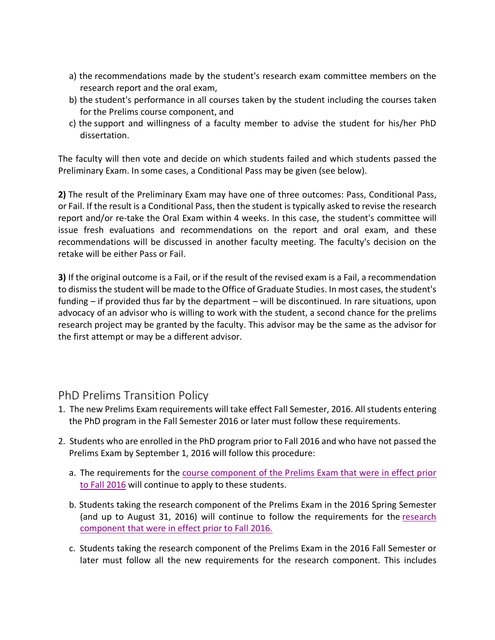- a) the recommendations made by the student's research exam committee members on the research report and the oral exam,
- b) the student's performance in all courses taken by the student including the courses taken for the Prelims course component, and
- c) the support and willingness of a faculty member to advise the student for his/her PhD dissertation.

The faculty will then vote and decide on which students failed and which students passed the Preliminary Exam. In some cases, a Conditional Pass may be given (see below).

**2)** The result of the Preliminary Exam may have one of three outcomes: Pass, Conditional Pass, or Fail. If the result is a Conditional Pass, then the student is typically asked to revise the research report and/or re-take the Oral Exam within 4 weeks. In this case, the student's committee will issue fresh evaluations and recommendations on the report and oral exam, and these recommendations will be discussed in another faculty meeting. The faculty's decision on the retake will be either Pass or Fail.

**3)** If the original outcome is a Fail, or if the result of the revised exam is a Fail, a recommendation to dismiss the student will be made to the Office of Graduate Studies. In most cases, the student's funding – if provided thus far by the department – will be discontinued. In rare situations, upon advocacy of an advisor who is willing to work with the student, a second chance for the prelims research project may be granted by the faculty. This advisor may be the same as the advisor for the first attempt or may be a different advisor.

## PhD Prelims Transition Policy

- 1. The new Prelims Exam requirements will take effect Fall Semester, 2016. All students entering the PhD program in the Fall Semester 2016 or later must follow these requirements.
- 2. Students who are enrolled in the PhD program prior to Fall 2016 and who have not passed the Prelims Exam by September 1, 2016 will follow this procedure:
	- a. The requirements for the course component of the Prelims Exam that were in effect prior to Fall 2016 will continue to apply to these students.
	- b. Students taking the research component of the Prelims Exam in the 2016 Spring Semester (and up to August 31, 2016) will continue to follow the requirements for the research component that were in effect prior to Fall 2016.
	- c. Students taking the research component of the Prelims Exam in the 2016 Fall Semester or later must follow all the new requirements for the research component. This includes